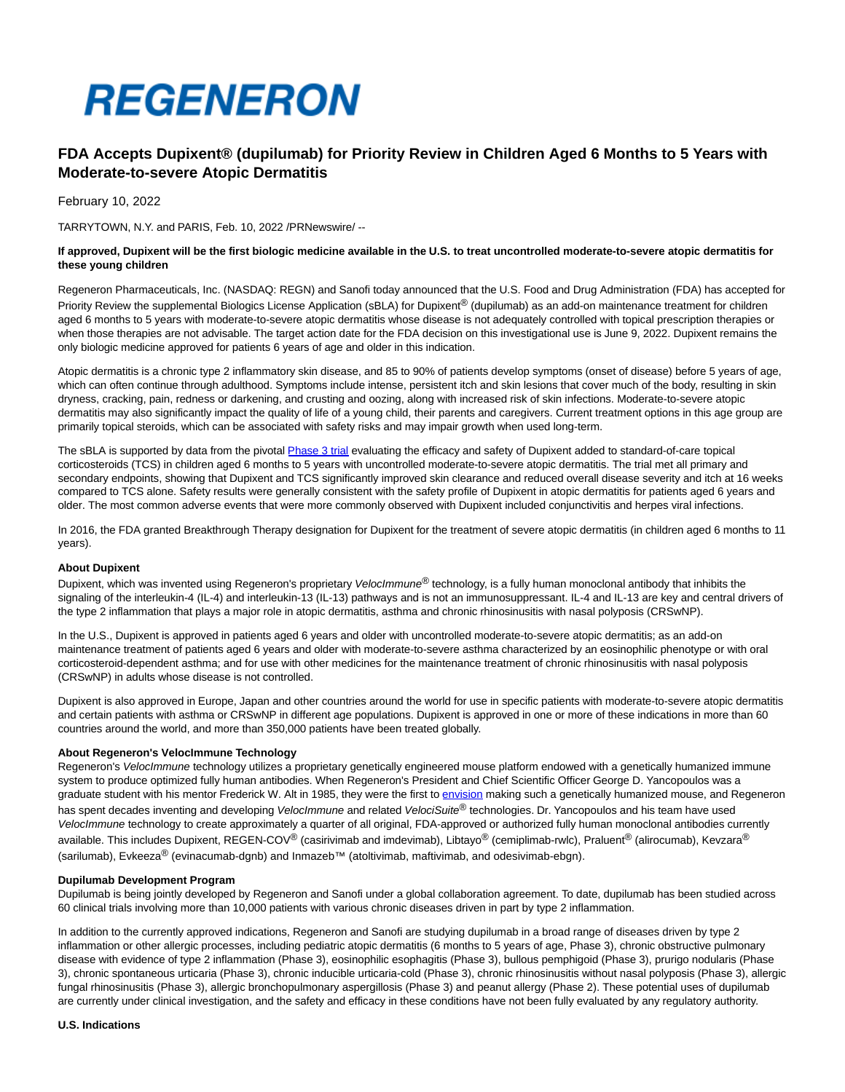

# **FDA Accepts Dupixent® (dupilumab) for Priority Review in Children Aged 6 Months to 5 Years with Moderate-to-severe Atopic Dermatitis**

February 10, 2022

TARRYTOWN, N.Y. and PARIS, Feb. 10, 2022 /PRNewswire/ --

### **If approved, Dupixent will be the first biologic medicine available in the U.S. to treat uncontrolled moderate-to-severe atopic dermatitis for these young children**

Regeneron Pharmaceuticals, Inc. (NASDAQ: REGN) and Sanofi today announced that the U.S. Food and Drug Administration (FDA) has accepted for Priority Review the supplemental Biologics License Application (sBLA) for Dupixent<sup>®</sup> (dupilumab) as an add-on maintenance treatment for children aged 6 months to 5 years with moderate-to-severe atopic dermatitis whose disease is not adequately controlled with topical prescription therapies or when those therapies are not advisable. The target action date for the FDA decision on this investigational use is June 9, 2022. Dupixent remains the only biologic medicine approved for patients 6 years of age and older in this indication.

Atopic dermatitis is a chronic type 2 inflammatory skin disease, and 85 to 90% of patients develop symptoms (onset of disease) before 5 years of age, which can often continue through adulthood. Symptoms include intense, persistent itch and skin lesions that cover much of the body, resulting in skin dryness, cracking, pain, redness or darkening, and crusting and oozing, along with increased risk of skin infections. Moderate-to-severe atopic dermatitis may also significantly impact the quality of life of a young child, their parents and caregivers. Current treatment options in this age group are primarily topical steroids, which can be associated with safety risks and may impair growth when used long-term.

The sBLA is supported by data from the pivotal [Phase 3 trial e](https://c212.net/c/link/?t=0&l=en&o=3439715-1&h=1688898659&u=https%3A%2F%2Finvestor.regeneron.com%2Fnews-releases%2Fnews-release-details%2Fpositive-phase-3-dupixentr-dupilumab-data-children-6-months-5&a=Phase+3+trial)valuating the efficacy and safety of Dupixent added to standard-of-care topical corticosteroids (TCS) in children aged 6 months to 5 years with uncontrolled moderate-to-severe atopic dermatitis. The trial met all primary and secondary endpoints, showing that Dupixent and TCS significantly improved skin clearance and reduced overall disease severity and itch at 16 weeks compared to TCS alone. Safety results were generally consistent with the safety profile of Dupixent in atopic dermatitis for patients aged 6 years and older. The most common adverse events that were more commonly observed with Dupixent included conjunctivitis and herpes viral infections.

In 2016, the FDA granted Breakthrough Therapy designation for Dupixent for the treatment of severe atopic dermatitis (in children aged 6 months to 11 years).

### **About Dupixent**

Dupixent, which was invented using Regeneron's proprietary Veloclmmune<sup>®</sup> technology, is a fully human monoclonal antibody that inhibits the signaling of the interleukin-4 (IL-4) and interleukin-13 (IL-13) pathways and is not an immunosuppressant. IL-4 and IL-13 are key and central drivers of the type 2 inflammation that plays a major role in atopic dermatitis, asthma and chronic rhinosinusitis with nasal polyposis (CRSwNP).

In the U.S., Dupixent is approved in patients aged 6 years and older with uncontrolled moderate-to-severe atopic dermatitis; as an add-on maintenance treatment of patients aged 6 years and older with moderate-to-severe asthma characterized by an eosinophilic phenotype or with oral corticosteroid-dependent asthma; and for use with other medicines for the maintenance treatment of chronic rhinosinusitis with nasal polyposis (CRSwNP) in adults whose disease is not controlled.

Dupixent is also approved in Europe, Japan and other countries around the world for use in specific patients with moderate-to-severe atopic dermatitis and certain patients with asthma or CRSwNP in different age populations. Dupixent is approved in one or more of these indications in more than 60 countries around the world, and more than 350,000 patients have been treated globally.

### **About Regeneron's VelocImmune Technology**

Regeneron's VelocImmune technology utilizes a proprietary genetically engineered mouse platform endowed with a genetically humanized immune system to produce optimized fully human antibodies. When Regeneron's President and Chief Scientific Officer George D. Yancopoulos was a graduate student with his mentor Frederick W. Alt in 1985, they were the first to [envision m](https://c212.net/c/link/?t=0&l=en&o=3439715-1&h=647196442&u=https%3A%2F%2Fwww.sciencedirect.com%2Fscience%2Farticle%2Fabs%2Fpii%2F0168952585900897&a=envision)aking such a genetically humanized mouse, and Regeneron has spent decades inventing and developing VelocImmune and related VelociSuite® technologies. Dr. Yancopoulos and his team have used VelocImmune technology to create approximately a quarter of all original, FDA-approved or authorized fully human monoclonal antibodies currently available. This includes Dupixent, REGEN-COV® (casirivimab and imdevimab), Libtayo® (cemiplimab-rwlc), Praluent<sup>®</sup> (alirocumab), Kevzara® (sarilumab), Evkeeza® (evinacumab-dgnb) and Inmazeb™ (atoltivimab, maftivimab, and odesivimab-ebgn).

### **Dupilumab Development Program**

Dupilumab is being jointly developed by Regeneron and Sanofi under a global collaboration agreement. To date, dupilumab has been studied across 60 clinical trials involving more than 10,000 patients with various chronic diseases driven in part by type 2 inflammation.

In addition to the currently approved indications, Regeneron and Sanofi are studying dupilumab in a broad range of diseases driven by type 2 inflammation or other allergic processes, including pediatric atopic dermatitis (6 months to 5 years of age, Phase 3), chronic obstructive pulmonary disease with evidence of type 2 inflammation (Phase 3), eosinophilic esophagitis (Phase 3), bullous pemphigoid (Phase 3), prurigo nodularis (Phase 3), chronic spontaneous urticaria (Phase 3), chronic inducible urticaria-cold (Phase 3), chronic rhinosinusitis without nasal polyposis (Phase 3), allergic fungal rhinosinusitis (Phase 3), allergic bronchopulmonary aspergillosis (Phase 3) and peanut allergy (Phase 2). These potential uses of dupilumab are currently under clinical investigation, and the safety and efficacy in these conditions have not been fully evaluated by any regulatory authority.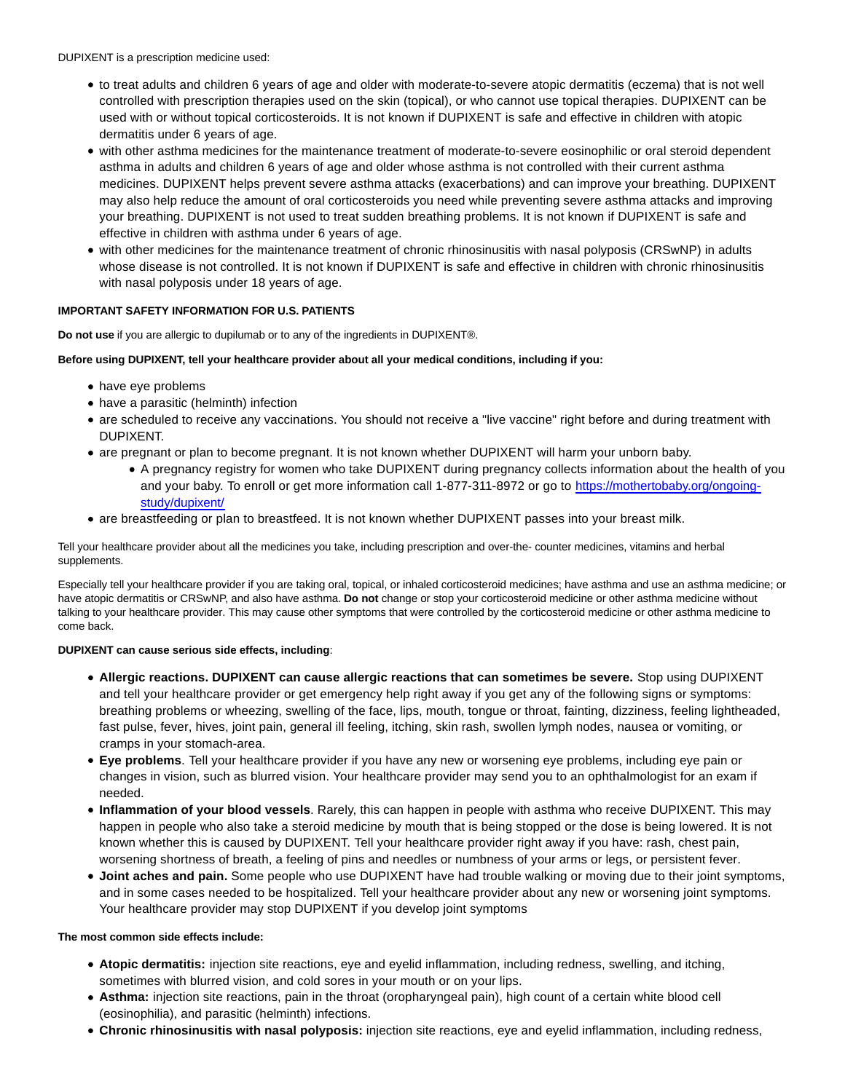DUPIXENT is a prescription medicine used:

- to treat adults and children 6 years of age and older with moderate-to-severe atopic dermatitis (eczema) that is not well controlled with prescription therapies used on the skin (topical), or who cannot use topical therapies. DUPIXENT can be used with or without topical corticosteroids. It is not known if DUPIXENT is safe and effective in children with atopic dermatitis under 6 years of age.
- with other asthma medicines for the maintenance treatment of moderate-to-severe eosinophilic or oral steroid dependent asthma in adults and children 6 years of age and older whose asthma is not controlled with their current asthma medicines. DUPIXENT helps prevent severe asthma attacks (exacerbations) and can improve your breathing. DUPIXENT may also help reduce the amount of oral corticosteroids you need while preventing severe asthma attacks and improving your breathing. DUPIXENT is not used to treat sudden breathing problems. It is not known if DUPIXENT is safe and effective in children with asthma under 6 years of age.
- with other medicines for the maintenance treatment of chronic rhinosinusitis with nasal polyposis (CRSwNP) in adults whose disease is not controlled. It is not known if DUPIXENT is safe and effective in children with chronic rhinosinusitis with nasal polyposis under 18 years of age.

# **IMPORTANT SAFETY INFORMATION FOR U.S. PATIENTS**

**Do not use** if you are allergic to dupilumab or to any of the ingredients in DUPIXENT®.

# **Before using DUPIXENT, tell your healthcare provider about all your medical conditions, including if you:**

- have eye problems
- have a parasitic (helminth) infection
- are scheduled to receive any vaccinations. You should not receive a "live vaccine" right before and during treatment with DUPIXENT.
- are pregnant or plan to become pregnant. It is not known whether DUPIXENT will harm your unborn baby.
	- A pregnancy registry for women who take DUPIXENT during pregnancy collects information about the health of you and your baby. To enroll or get more information call 1-877-311-8972 or go to [https://mothertobaby.org/ongoing](https://mothertobaby.org/ongoing-study/dupixent/)study/dupixent/
- are breastfeeding or plan to breastfeed. It is not known whether DUPIXENT passes into your breast milk.

Tell your healthcare provider about all the medicines you take, including prescription and over-the- counter medicines, vitamins and herbal supplements.

Especially tell your healthcare provider if you are taking oral, topical, or inhaled corticosteroid medicines; have asthma and use an asthma medicine; or have atopic dermatitis or CRSwNP, and also have asthma. **Do not** change or stop your corticosteroid medicine or other asthma medicine without talking to your healthcare provider. This may cause other symptoms that were controlled by the corticosteroid medicine or other asthma medicine to come back.

# **DUPIXENT can cause serious side effects, including**:

- **Allergic reactions. DUPIXENT can cause allergic reactions that can sometimes be severe.** Stop using DUPIXENT and tell your healthcare provider or get emergency help right away if you get any of the following signs or symptoms: breathing problems or wheezing, swelling of the face, lips, mouth, tongue or throat, fainting, dizziness, feeling lightheaded, fast pulse, fever, hives, joint pain, general ill feeling, itching, skin rash, swollen lymph nodes, nausea or vomiting, or cramps in your stomach-area.
- **Eye problems**. Tell your healthcare provider if you have any new or worsening eye problems, including eye pain or changes in vision, such as blurred vision. Your healthcare provider may send you to an ophthalmologist for an exam if needed.
- **Inflammation of your blood vessels**. Rarely, this can happen in people with asthma who receive DUPIXENT. This may happen in people who also take a steroid medicine by mouth that is being stopped or the dose is being lowered. It is not known whether this is caused by DUPIXENT. Tell your healthcare provider right away if you have: rash, chest pain, worsening shortness of breath, a feeling of pins and needles or numbness of your arms or legs, or persistent fever.
- **Joint aches and pain.** Some people who use DUPIXENT have had trouble walking or moving due to their joint symptoms, and in some cases needed to be hospitalized. Tell your healthcare provider about any new or worsening joint symptoms. Your healthcare provider may stop DUPIXENT if you develop joint symptoms

### **The most common side effects include:**

- **Atopic dermatitis:** injection site reactions, eye and eyelid inflammation, including redness, swelling, and itching, sometimes with blurred vision, and cold sores in your mouth or on your lips.
- **Asthma:** injection site reactions, pain in the throat (oropharyngeal pain), high count of a certain white blood cell (eosinophilia), and parasitic (helminth) infections.
- **Chronic rhinosinusitis with nasal polyposis:** injection site reactions, eye and eyelid inflammation, including redness,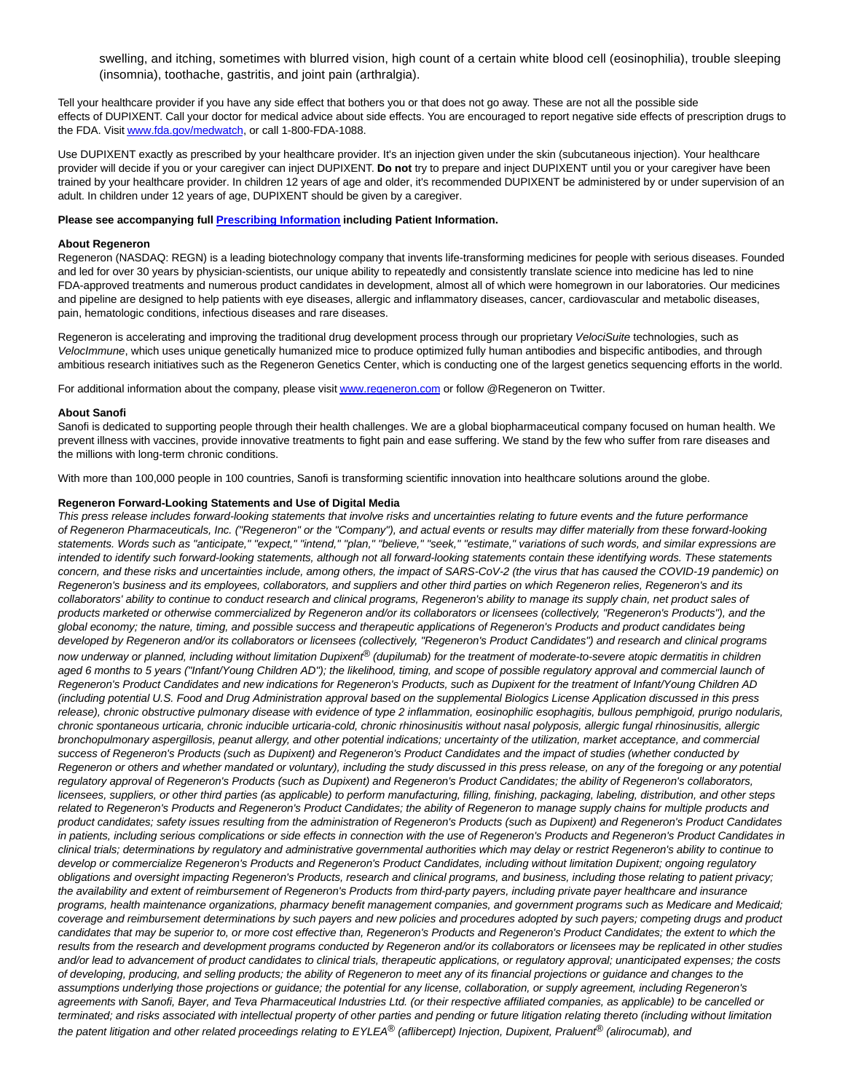swelling, and itching, sometimes with blurred vision, high count of a certain white blood cell (eosinophilia), trouble sleeping (insomnia), toothache, gastritis, and joint pain (arthralgia).

Tell your healthcare provider if you have any side effect that bothers you or that does not go away. These are not all the possible side effects of DUPIXENT. Call your doctor for medical advice about side effects. You are encouraged to report negative side effects of prescription drugs to the FDA. Visi[t www.fda.gov/medwatch,](https://c212.net/c/link/?t=0&l=en&o=3439715-1&h=108059094&u=https%3A%2F%2Fwww.fda.gov%2Fmedwatch&a=www.fda.gov%2Fmedwatch) or call 1-800-FDA-1088.

Use DUPIXENT exactly as prescribed by your healthcare provider. It's an injection given under the skin (subcutaneous injection). Your healthcare provider will decide if you or your caregiver can inject DUPIXENT. **Do not** try to prepare and inject DUPIXENT until you or your caregiver have been trained by your healthcare provider. In children 12 years of age and older, it's recommended DUPIXENT be administered by or under supervision of an adult. In children under 12 years of age, DUPIXENT should be given by a caregiver.

### **Please see accompanying full [Prescribing Information](https://c212.net/c/link/?t=0&l=en&o=3439715-1&h=65303587&u=https%3A%2F%2Fwww.regeneron.com%2Fsites%2Fdefault%2Ffiles%2FDupixent_FPI.pdf&a=Prescribing%C2%A0Information) including Patient Information.**

### **About Regeneron**

Regeneron (NASDAQ: REGN) is a leading biotechnology company that invents life-transforming medicines for people with serious diseases. Founded and led for over 30 years by physician-scientists, our unique ability to repeatedly and consistently translate science into medicine has led to nine FDA-approved treatments and numerous product candidates in development, almost all of which were homegrown in our laboratories. Our medicines and pipeline are designed to help patients with eye diseases, allergic and inflammatory diseases, cancer, cardiovascular and metabolic diseases, pain, hematologic conditions, infectious diseases and rare diseases.

Regeneron is accelerating and improving the traditional drug development process through our proprietary VelociSuite technologies, such as VelocImmune, which uses unique genetically humanized mice to produce optimized fully human antibodies and bispecific antibodies, and through ambitious research initiatives such as the Regeneron Genetics Center, which is conducting one of the largest genetics sequencing efforts in the world.

For additional information about the company, please visi[t www.regeneron.com o](https://c212.net/c/link/?t=0&l=en&o=3439715-1&h=2527405419&u=http%3A%2F%2Fwww.regeneron.com%2F&a=www.regeneron.com)r follow @Regeneron on Twitter.

#### **About Sanofi**

Sanofi is dedicated to supporting people through their health challenges. We are a global biopharmaceutical company focused on human health. We prevent illness with vaccines, provide innovative treatments to fight pain and ease suffering. We stand by the few who suffer from rare diseases and the millions with long-term chronic conditions.

With more than 100,000 people in 100 countries, Sanofi is transforming scientific innovation into healthcare solutions around the globe.

### **Regeneron Forward-Looking Statements and Use of Digital Media**

This press release includes forward-looking statements that involve risks and uncertainties relating to future events and the future performance of Regeneron Pharmaceuticals, Inc. ("Regeneron" or the "Company"), and actual events or results may differ materially from these forward-looking statements. Words such as "anticipate," "expect," "intend," "plan," "believe," "seek," "estimate," variations of such words, and similar expressions are intended to identify such forward-looking statements, although not all forward-looking statements contain these identifying words. These statements concern, and these risks and uncertainties include, among others, the impact of SARS-CoV-2 (the virus that has caused the COVID-19 pandemic) on Regeneron's business and its employees, collaborators, and suppliers and other third parties on which Regeneron relies, Regeneron's and its collaborators' ability to continue to conduct research and clinical programs, Regeneron's ability to manage its supply chain, net product sales of products marketed or otherwise commercialized by Regeneron and/or its collaborators or licensees (collectively, "Regeneron's Products"), and the global economy; the nature, timing, and possible success and therapeutic applications of Regeneron's Products and product candidates being developed by Regeneron and/or its collaborators or licensees (collectively, "Regeneron's Product Candidates") and research and clinical programs now underway or planned, including without limitation Dupixent® (dupilumab) for the treatment of moderate-to-severe atopic dermatitis in children aged 6 months to 5 years ("Infant/Young Children AD"); the likelihood, timing, and scope of possible regulatory approval and commercial launch of Regeneron's Product Candidates and new indications for Regeneron's Products, such as Dupixent for the treatment of Infant/Young Children AD (including potential U.S. Food and Drug Administration approval based on the supplemental Biologics License Application discussed in this press release), chronic obstructive pulmonary disease with evidence of type 2 inflammation, eosinophilic esophagitis, bullous pemphigoid, prurigo nodularis, chronic spontaneous urticaria, chronic inducible urticaria-cold, chronic rhinosinusitis without nasal polyposis, allergic fungal rhinosinusitis, allergic bronchopulmonary aspergillosis, peanut allergy, and other potential indications; uncertainty of the utilization, market acceptance, and commercial success of Regeneron's Products (such as Dupixent) and Regeneron's Product Candidates and the impact of studies (whether conducted by Regeneron or others and whether mandated or voluntary), including the study discussed in this press release, on any of the foregoing or any potential regulatory approval of Regeneron's Products (such as Dupixent) and Regeneron's Product Candidates; the ability of Regeneron's collaborators, licensees, suppliers, or other third parties (as applicable) to perform manufacturing, filling, finishing, packaging, labeling, distribution, and other steps related to Regeneron's Products and Regeneron's Product Candidates; the ability of Regeneron to manage supply chains for multiple products and product candidates; safety issues resulting from the administration of Regeneron's Products (such as Dupixent) and Regeneron's Product Candidates in patients, including serious complications or side effects in connection with the use of Regeneron's Products and Regeneron's Product Candidates in clinical trials; determinations by regulatory and administrative governmental authorities which may delay or restrict Regeneron's ability to continue to develop or commercialize Regeneron's Products and Regeneron's Product Candidates, including without limitation Dupixent; ongoing regulatory obligations and oversight impacting Regeneron's Products, research and clinical programs, and business, including those relating to patient privacy; the availability and extent of reimbursement of Regeneron's Products from third-party payers, including private payer healthcare and insurance programs, health maintenance organizations, pharmacy benefit management companies, and government programs such as Medicare and Medicaid; coverage and reimbursement determinations by such payers and new policies and procedures adopted by such payers; competing drugs and product candidates that may be superior to, or more cost effective than, Regeneron's Products and Regeneron's Product Candidates; the extent to which the results from the research and development programs conducted by Regeneron and/or its collaborators or licensees may be replicated in other studies and/or lead to advancement of product candidates to clinical trials, therapeutic applications, or regulatory approval; unanticipated expenses; the costs of developing, producing, and selling products; the ability of Regeneron to meet any of its financial projections or guidance and changes to the assumptions underlying those projections or guidance; the potential for any license, collaboration, or supply agreement, including Regeneron's agreements with Sanofi, Bayer, and Teva Pharmaceutical Industries Ltd. (or their respective affiliated companies, as applicable) to be cancelled or terminated; and risks associated with intellectual property of other parties and pending or future litigation relating thereto (including without limitation the patent litigation and other related proceedings relating to EYLEA® (aflibercept) Injection, Dupixent, Praluent<sup>®</sup> (alirocumab), and